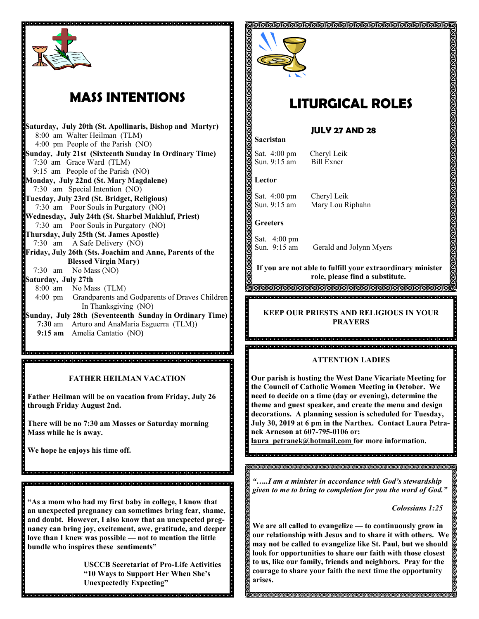

# **MASS INTENTIONS**

**Saturday, July 20th (St. Apollinaris, Bishop and Martyr)** 8:00 am Walter Heilman (TLM) 4:00 pm People of the Parish (NO) **Sunday, July 21st (Sixteenth Sunday In Ordinary Time)** 7:30 am Grace Ward (TLM) 9:15 am People of the Parish (NO) **Monday, July 22nd (St. Mary Magdalene)** 7:30 am Special Intention (NO) **Tuesday, July 23rd (St. Bridget, Religious)** 7:30 am Poor Souls in Purgatory (NO) **Wednesday, July 24th (St. Sharbel Makhluf, Priest)**  7:30 am Poor Souls in Purgatory (NO) **Thursday, July 25th (St. James Apostle)** 7:30 am A Safe Delivery (NO) **Friday, July 26th (Sts. Joachim and Anne, Parents of the Blessed Virgin Mary)** 7:30 am No Mass (NO) **Saturday, July 27th**  8:00 am No Mass (TLM) 4:00 pm Grandparents and Godparents of Draves Children In Thanksgiving (NO) **Sunday, July 28th (Seventeenth Sunday in Ordinary Time) 7:30** am Arturo and AnaMaria Esguerra (TLM)) **9:15 am** Amelia Cantatio (NO**)**

**FATHER HEILMAN VACATION**

**Father Heilman will be on vacation from Friday, July 26 through Friday August 2nd.** 

in in buon de la caractera del ciento del ciento del ciento del ciento del ciento del ciento del ciento del cie 

**There will be no 7:30 am Masses or Saturday morning Mass while he is away.**

de de la dialeja de la dialeja de la dialeja dialeja dialeja dialeja dialeja dialeja dialeja dialeja dialeja d

**We hope he enjoys his time off.** 

**"As a mom who had my first baby in college, I know that an unexpected pregnancy can sometimes bring fear, shame, and doubt. However, I also know that an unexpected pregnancy can bring joy, excitement, awe, gratitude, and deeper love than I knew was possible — not to mention the little bundle who inspires these sentiments"**

dia dia kalendra dia kalendra dia kalendra dia kalendra dia kalendra dia kalendra dia kalendra dia k

**USCCB Secretariat of Pro-Life Activities "10 Ways to Support Her When She's Unexpectedly Expecting"**



# **LITURGICAL ROLES**

# **JULY 27 AND 28**

Sat. 4:00 pm Cheryl Leik Sun. 9:15 am Bill Exner

### **Lector**

**Sacristan**

Sat. 4:00 pm Cheryl Leik Sun. 9:15 am Mary Lou Riphahn

**Greeters**

Sat. 4:00 pm

Sun. 9:15 am Gerald and Jolynn Myers

**If you are not able to fulfill your extraordinary minister role, please find a substitute.** 

**MAMAMAMAMAMA** 

# **KEEP OUR PRIESTS AND RELIGIOUS IN YOUR PRAYERS**

a<br>Spacial a jaroj e jaroj e jaroj al a jaroj e jaroj ale jaroj e jaroj e jaroj e jaroj e jaroj e jaroj e jaroj e 

### **ATTENTION LADIES**

**Our parish is hosting the West Dane Vicariate Meeting for the Council of Catholic Women Meeting in October. We need to decide on a time (day or evening), determine the theme and guest speaker, and create the menu and design decorations. A planning session is scheduled for Tuesday, July 30, 2019 at 6 pm in the Narthex. Contact Laura Petranek Arneson at 607-795-0106 or:**

**laura\_petranek@hotmail.com for more information.**

a<br>De la diale de la diale de la diale de la diale diale diale diale diale diale diale diale diale diale.

*"…..I am a minister in accordance with God's stewardship given to me to bring to completion for you the word of God."*

 *Colossians 1:25*

**We are all called to evangelize — to continuously grow in our relationship with Jesus and to share it with others. We may not be called to evangelize like St. Paul, but we should look for opportunities to share our faith with those closest to us, like our family, friends and neighbors. Pray for the courage to share your faith the next time the opportunity arises.**